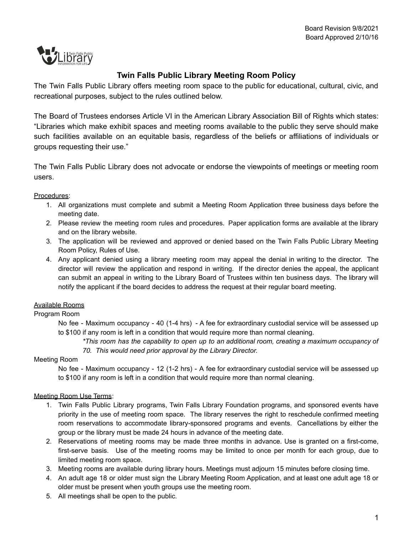

# **Twin Falls Public Library Meeting Room Policy**

The Twin Falls Public Library offers meeting room space to the public for educational, cultural, civic, and recreational purposes, subject to the rules outlined below.

The Board of Trustees endorses Article VI in the American Library Association Bill of Rights which states: "Libraries which make exhibit spaces and meeting rooms available to the public they serve should make such facilities available on an equitable basis, regardless of the beliefs or affiliations of individuals or groups requesting their use."

The Twin Falls Public Library does not advocate or endorse the viewpoints of meetings or meeting room users.

#### Procedures:

- 1. All organizations must complete and submit a Meeting Room Application three business days before the meeting date.
- 2. Please review the meeting room rules and procedures. Paper application forms are available at the library and on the library website.
- 3. The application will be reviewed and approved or denied based on the Twin Falls Public Library Meeting Room Policy, Rules of Use.
- 4. Any applicant denied using a library meeting room may appeal the denial in writing to the director. The director will review the application and respond in writing. If the director denies the appeal, the applicant can submit an appeal in writing to the Library Board of Trustees within ten business days. The library will notify the applicant if the board decides to address the request at their regular board meeting.

## Available Rooms

## Program Room

No fee - Maximum occupancy - 40 (1-4 hrs) - A fee for extraordinary custodial service will be assessed up to \$100 if any room is left in a condition that would require more than normal cleaning.

*\*This room has the capability to open up to an additional room, creating a maximum occupancy of 70. This would need prior approval by the Library Director.*

## Meeting Room

No fee - Maximum occupancy - 12 (1-2 hrs) - A fee for extraordinary custodial service will be assessed up to \$100 if any room is left in a condition that would require more than normal cleaning.

#### Meeting Room Use Terms:

- 1. Twin Falls Public Library programs, Twin Falls Library Foundation programs, and sponsored events have priority in the use of meeting room space. The library reserves the right to reschedule confirmed meeting room reservations to accommodate library-sponsored programs and events. Cancellations by either the group or the library must be made 24 hours in advance of the meeting date.
- 2. Reservations of meeting rooms may be made three months in advance. Use is granted on a first-come, first-serve basis. Use of the meeting rooms may be limited to once per month for each group, due to limited meeting room space.
- 3. Meeting rooms are available during library hours. Meetings must adjourn 15 minutes before closing time.
- 4. An adult age 18 or older must sign the Library Meeting Room Application, and at least one adult age 18 or older must be present when youth groups use the meeting room.
- 5. All meetings shall be open to the public.